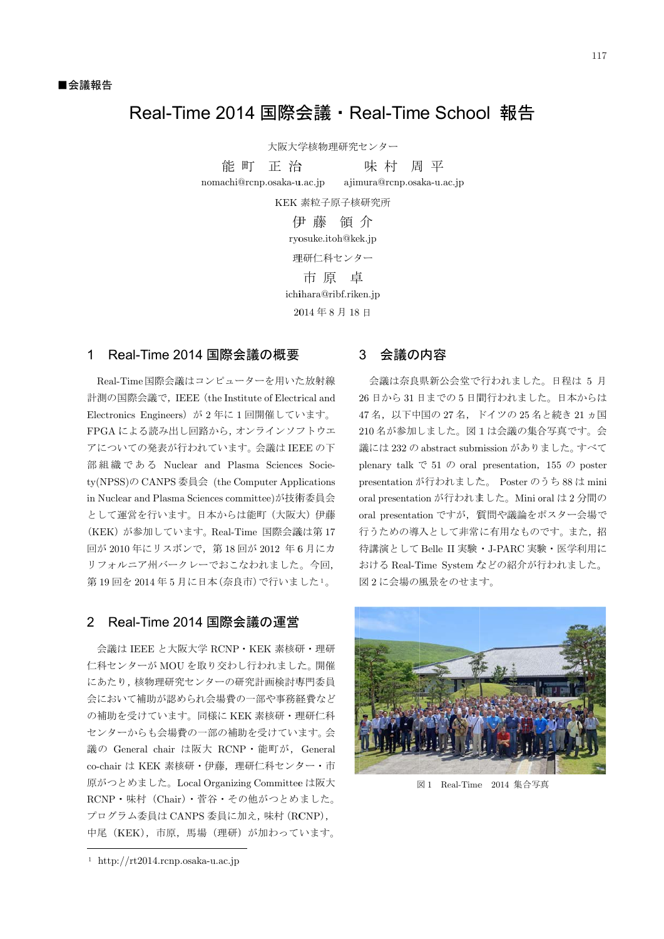# Real-Time 2014 国際会議 · Real-Time School 報告

大阪大学核物理研究センター

能 町 正 治 nomachi@ @rcnp.osaka-u u.ac.jp ajim 味村 mura@rcnp.osaka-u.ac.jp 周平

KEK 素粒子原子核研究所

伊 藤 領 介 ryosuke.itoh@kek.jp 理研仁科センター ichi ihara@ribf.rike en.jp 2014年8月18日 市 原 卓

### 1 Real-Time 2014 国際会議の概要

Real-Time 国際会議はコンピューターを用いた放射線 計測の国際会議で,IEEE(the Institute of Electrical and Electronics Engineers)が2年に1回開催しています。 FPGA による読み出し回路から, オンラインソフトウエ アについての発表が行われています。 会議は IEEE の下 部組織である Nuclear and Plasma Sciences Society(NPSS)の CANPS 委員会 (the Computer Applications in Nuclear and Plasma Sciences committee)が技術委員会 として運営を行います。日本からは能町 (大阪大) 伊藤 (KEK)が参加しています。Real-Time 国際会議 (KEK)が参加しています。Real-Time 国際会議は第 17<br>回が 2010 年にリスボンで,第 18 回が 2012 年6 月にカ リフォルニア州バークレーでおこなわれました。今回, 第19回を2014年5月に日本(奈良市)で行いました1。

### 2 Real-Time 2014 国際会議の運営

- 会議は IEEE と大阪大学 RCNP・KEK 素核研・理研 仁科センターが MOU を取り交わし行われました。 開催 にあたり, 核物理研究センターの研究計画検討専門委員 会において補助が認められ会場費の一部や事務経費など の補助を受けています。同様に KEK 素核研・理研仁科 センターからも会場費の一部の補助を受けています。 会 議の General chair は阪大 RCNP・能町が, General co-chair は KEK 素核研・伊藤,理研仁科センター・市 原がつとめました。Local Organizing Committee は阪大 RCNP・味村(Chair)・菅谷・その他がつとめました。 プログラム委員は CANPS 委員に加え, 味村 (RCNP), 中尾(KEK),市原,馬場(理研)が加わっています。

l

#### 3 3 会議の内容

26 日から31 日までの5日間行われました。日本からは 47 名, 以下中国の 27 名, ドイツの 25 名と続き 21 ヵ国 210名が参加しました。図1は会議の集合写真です。会 議には 232 の abstract submission がありました。 すべて plenary talk  $\mathfrak{S}$  51  $\mathcal{D}$  oral presentation, 155  $\mathcal{D}$  poster presentation が行われました。 Poster のうち 88 は mini oral presentation が行われました。Mini oral は2分間の oral presentation ですが、質問や議論をポスター会場で 行うための導入として非常に有用なものです。また、招 行うための導入として非常に有用なものです。また,招<br>待講演として Belle II 実験・J-PARC 実験・医学利用に 会議は奈良県新公会堂で行われました。日程は 5 月 おける Real-Time System などの紹介が行われました。 図2に会場の風景をのせます。



図 1 Real-Time 2014 集合写真

l

 $\overline{a}$ 

l

<sup>㸯</sup> http: //rt2014.rcnp .osaka-u.ac.jp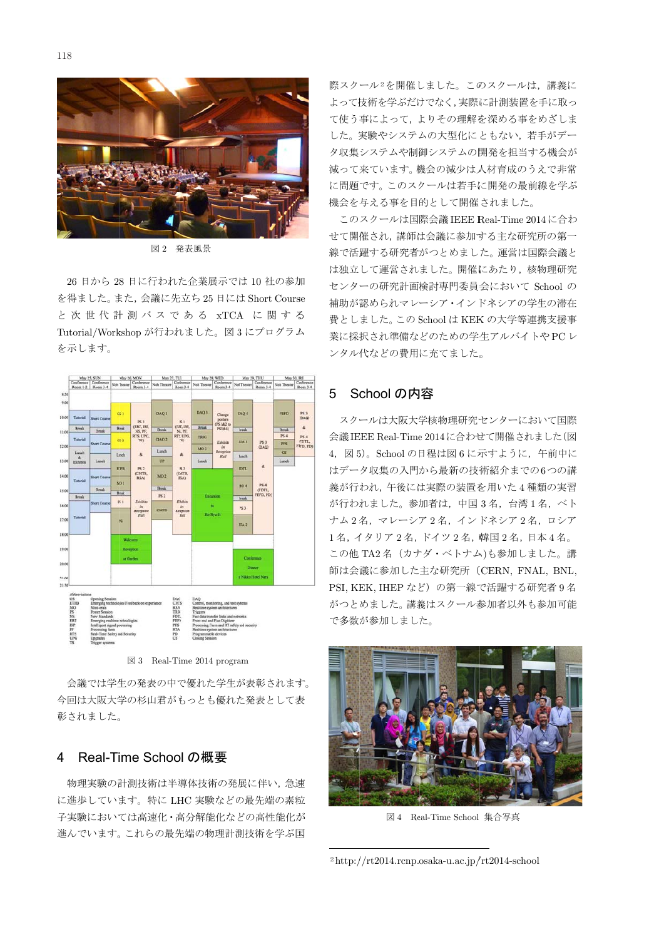

図 2 発表風景

を得ました。また, 会議に先立ち 25 日には Short Course と次世代計測バスである xTCA に関する Tutorial/Workshop が行われました。図 3 にプログラム を示します。 26 日から 28 日に行われた企業展示では 10 社の参加



図 3 Real-Time 2014 program

今回は大阪大学 彰されました。 生の発表の中で<br>学の杉山君がも<br>。 で優れた学生が表彰されます。 もっとも優れた発表として表

#### 4 4 Real-Time School の概要

に進歩しています。特に LHC 実験などの最先端の素粒 に進歩しています。特に LHC 実験などの最先端の素粒<br>子実験においては高速化・高分解能化などの高性能化が 進んでいます。これらの最先端の物理計測技術を学ぶ国 物理実験の計測技術は半導体技術の発展に伴い、急速

際スクール<sup>2</sup>を開催しました。このスクールは、講義に よって技術を学ぶだけでなく,実際に計測装置を手に取っ て使う事によって、よりその理解を深める事をめざしま した。実験やシステムの大型化にともない、若手がデー 夕収集システムや制御システムの開発を担当する機会が 減って来ています。機会の減少は人材育成のうえで非常 に問題です。このスクールは若手に開発の最前線を学ぶ 機会を与える事を目的として開催されました。

このスクールは国際会議 IEEE Real-Time 2014に合わ せて開催され, 講師は会議に参加する主な研究所の第一 線で活躍する研究者がつとめました。 運営は国際会議と は独立して運営されました。開催にあたり、核物理研究 センターの研究計画検討専門委員会において School の 補助が認められマレーシア・インドネシアの学生の滞在 費としました。この School は KEK の大学等連携支援事 業に採択され準備などのための学生アルバイトやPC レ 業に採択され準備などのための学生;<br>ンタル代などの費用に充てました。

### 5 School の内容

- スクールは大阪大学核物理研究センターにおいて国際 会議IEEE Real-Time 2014に合わせて開催されました(図 4, 図5)。School の日程は図6に示すように, 午前中に 4,図 5)。School の日程は図 6 に示すように,午前中に<br>はデータ収集の入門から最新の技術紹介までの6つの講 義が行われ,午後には実際の装置を用いた4種類の実習 が行われました。参加者は、中国3名, 台湾1名, ベト ナム2名, マレーシア2名, インドネシア2名, ロシア 1名, イタリア2名, ドイツ2名, 韓国2名, 日本4名。 この他 TA2名 (カナダ・ベトナム)も参加しました。講 師は会議に参加した主な研究所 (CERN, FNAL, BNL, PSI, KEK, IHEP など)の第一線で活躍する研究者 9 名 がつとめました。講義はスクール参加者以外も参加可能 で多数が参加しました。



図 4 Real-Time School 集合写真

l

<sup>2</sup>http://rt2014.rcnp.osaka-u.ac.jp/rt2014-school

l

l

l